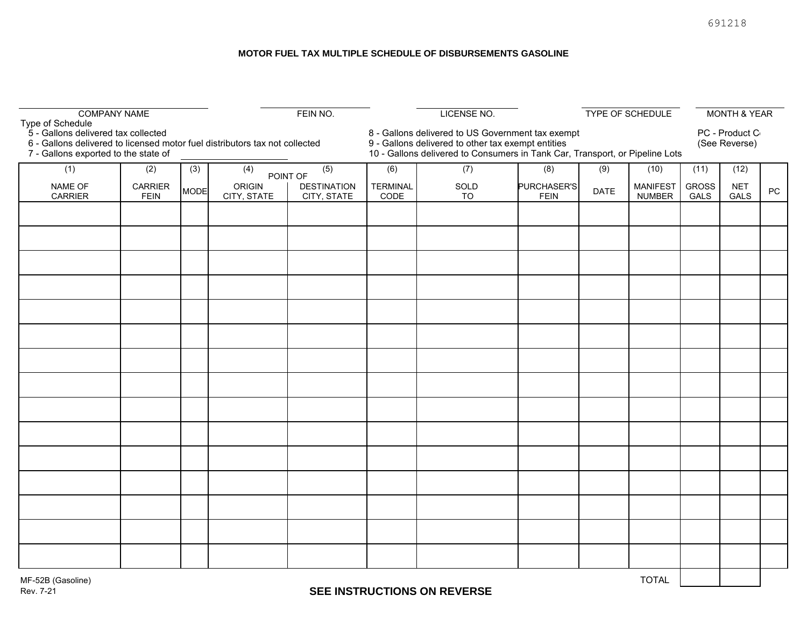#### **MOTOR FUEL TAX MULTIPLE SCHEDULE OF DISBURSEMENTS GASOLINE**

| <b>COMPANY NAME</b>                                                                             |                               |             | FEIN NO.                                                                      |     |                                                                                                                                                                                         | <b>LICENSE NO.</b> |                            | TYPE OF SCHEDULE |                                  |                                 | <b>MONTH &amp; YEAR</b> |            |
|-------------------------------------------------------------------------------------------------|-------------------------------|-------------|-------------------------------------------------------------------------------|-----|-----------------------------------------------------------------------------------------------------------------------------------------------------------------------------------------|--------------------|----------------------------|------------------|----------------------------------|---------------------------------|-------------------------|------------|
| Type of Schedule<br>5 - Gallons delivered tax collected<br>7 - Gallons exported to the state of |                               |             | 6 - Gallons delivered to licensed motor fuel distributors tax not collected   |     | 8 - Gallons delivered to US Government tax exempt<br>9 - Gallons delivered to other tax exempt entities<br>10 - Gallons delivered to Consumers in Tank Car, Transport, or Pipeline Lots |                    |                            |                  |                                  | PC - Product C<br>(See Reverse) |                         |            |
| (1)                                                                                             | (2)                           | (3)         | (4)                                                                           | (5) | (6)                                                                                                                                                                                     | (7)                | (8)                        | (9)              | (10)                             | (11)                            | (12)                    |            |
| NAME OF<br><b>CARRIER</b>                                                                       | <b>CARRIER</b><br><b>FEIN</b> | <b>MODE</b> | POINT OF<br><b>ORIGIN</b><br><b>DESTINATION</b><br>CITY, STATE<br>CITY, STATE |     | <b>TERMINAL</b><br>CODE                                                                                                                                                                 | SOLD<br>TO         | PURCHASER'S<br><b>FEIN</b> | <b>DATE</b>      | <b>MANIFEST</b><br><b>NUMBER</b> | <b>GROSS</b><br>GALS            | <b>NET</b><br>GALS      | ${\sf PC}$ |
|                                                                                                 |                               |             |                                                                               |     |                                                                                                                                                                                         |                    |                            |                  |                                  |                                 |                         |            |
|                                                                                                 |                               |             |                                                                               |     |                                                                                                                                                                                         |                    |                            |                  |                                  |                                 |                         |            |
|                                                                                                 |                               |             |                                                                               |     |                                                                                                                                                                                         |                    |                            |                  |                                  |                                 |                         |            |
|                                                                                                 |                               |             |                                                                               |     |                                                                                                                                                                                         |                    |                            |                  |                                  |                                 |                         |            |
|                                                                                                 |                               |             |                                                                               |     |                                                                                                                                                                                         |                    |                            |                  |                                  |                                 |                         |            |
|                                                                                                 |                               |             |                                                                               |     |                                                                                                                                                                                         |                    |                            |                  |                                  |                                 |                         |            |
|                                                                                                 |                               |             |                                                                               |     |                                                                                                                                                                                         |                    |                            |                  |                                  |                                 |                         |            |
|                                                                                                 |                               |             |                                                                               |     |                                                                                                                                                                                         |                    |                            |                  |                                  |                                 |                         |            |
|                                                                                                 |                               |             |                                                                               |     |                                                                                                                                                                                         |                    |                            |                  |                                  |                                 |                         |            |
|                                                                                                 |                               |             |                                                                               |     |                                                                                                                                                                                         |                    |                            |                  |                                  |                                 |                         |            |
|                                                                                                 |                               |             |                                                                               |     |                                                                                                                                                                                         |                    |                            |                  |                                  |                                 |                         |            |
|                                                                                                 |                               |             |                                                                               |     |                                                                                                                                                                                         |                    |                            |                  |                                  |                                 |                         |            |
|                                                                                                 |                               |             |                                                                               |     |                                                                                                                                                                                         |                    |                            |                  |                                  |                                 |                         |            |
|                                                                                                 |                               |             |                                                                               |     |                                                                                                                                                                                         |                    |                            |                  |                                  |                                 |                         |            |
|                                                                                                 |                               |             |                                                                               |     |                                                                                                                                                                                         |                    |                            |                  |                                  |                                 |                         |            |
| <b>TOTAL</b><br>MF-52B (Gasoline)                                                               |                               |             |                                                                               |     |                                                                                                                                                                                         |                    |                            |                  |                                  |                                 |                         |            |